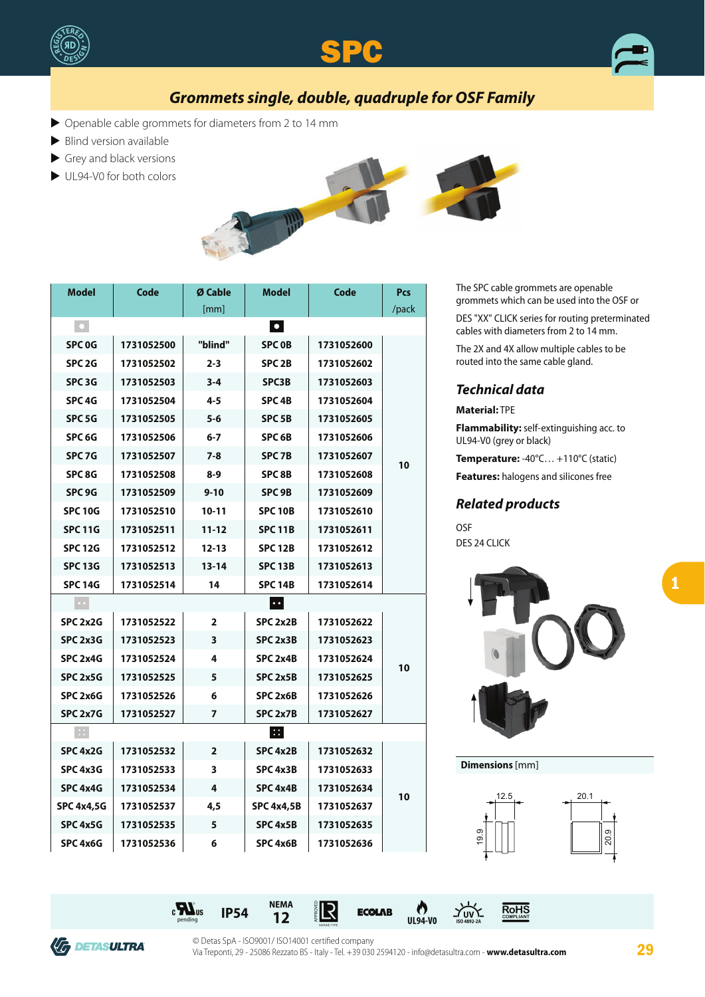





# **Grommets single, double, quadruple for OSF Family**

- $\triangleright$  Openable cable grommets for diameters from 2 to 14 mm
- $\blacktriangleright$  Blind version available
- $\blacktriangleright$  Grey and black versions
- $\blacktriangleright$  UL94-V0 for both colors



| <b>Model</b>                                                | Code       | Ø Cable   | <b>Model</b>        | Code       | Pcs   |
|-------------------------------------------------------------|------------|-----------|---------------------|------------|-------|
|                                                             |            | [mm]      |                     |            | /pack |
| $\vert \cdot \vert$<br>$\vert \bullet \vert$                |            |           |                     |            |       |
| SPC <sub>0G</sub>                                           | 1731052500 | "blind"   | <b>SPC OB</b>       | 1731052600 | 10    |
| SPC <sub>2G</sub>                                           | 1731052502 | $2 - 3$   | SPC <sub>2B</sub>   | 1731052602 |       |
| SPC <sub>3G</sub>                                           | 1731052503 | $3 - 4$   | <b>SPC3B</b>        | 1731052603 |       |
| SPC 4G                                                      | 1731052504 | 4-5       | SPC <sub>4</sub> B  | 1731052604 |       |
| SPC 5G                                                      | 1731052505 | $5 - 6$   | <b>SPC 5B</b>       | 1731052605 |       |
| SPC <sub>6G</sub>                                           | 1731052506 | $6 - 7$   | SPC <sub>6</sub> B  | 1731052606 |       |
| SPC 7G                                                      | 1731052507 | $7 - 8$   | SPC <sub>7B</sub>   | 1731052607 |       |
| SPC 8G                                                      | 1731052508 | 8-9       | SPC 8B              | 1731052608 |       |
| SPC 9G                                                      | 1731052509 | $9 - 10$  | SPC <sub>9B</sub>   | 1731052609 |       |
| <b>SPC 10G</b>                                              | 1731052510 | 10-11     | <b>SPC 10B</b>      | 1731052610 |       |
| <b>SPC 11G</b>                                              | 1731052511 | 11-12     | <b>SPC 11B</b>      | 1731052611 |       |
| <b>SPC 12G</b>                                              | 1731052512 | 12-13     | <b>SPC 12B</b>      | 1731052612 |       |
| <b>SPC 13G</b>                                              | 1731052513 | $13 - 14$ | <b>SPC 13B</b>      | 1731052613 |       |
| <b>SPC 14G</b>                                              | 1731052514 | 14        | <b>SPC 14B</b>      | 1731052614 |       |
| $ \cdot\cdot $<br>$\bullet$ $\bullet$                       |            |           |                     |            |       |
| SPC 2x2G                                                    | 1731052522 | 2         | SPC 2x2B            | 1731052622 | 10    |
| SPC 2x3G                                                    | 1731052523 | 3         | SPC <sub>2x3B</sub> | 1731052623 |       |
| SPC 2x4G                                                    | 1731052524 | 4         | SPC 2x4B            | 1731052624 |       |
| SPC 2x5G                                                    | 1731052525 | 5         | SPC 2x5B            | 1731052625 |       |
| SPC 2x6G                                                    | 1731052526 | 6         | SPC 2x6B            | 1731052626 |       |
| SPC 2x7G                                                    | 1731052527 | 7         | SPC 2x7B            | 1731052627 |       |
| $\mathbb{C}^{\infty}_{\infty}$<br>$ \mathrel{\mathop:}{:} $ |            |           |                     |            |       |
| SPC 4x2G                                                    | 1731052532 | 2         | SPC 4x2B            | 1731052632 | 10    |
| SPC 4x3G                                                    | 1731052533 | 3         | SPC 4x3B            | 1731052633 |       |
| SPC 4x4G                                                    | 1731052534 | 4         | SPC 4x4B            | 1731052634 |       |
| <b>SPC 4x4,5G</b>                                           | 1731052537 | 4,5       | <b>SPC 4x4,5B</b>   | 1731052637 |       |
| SPC 4x5G                                                    | 1731052535 | 5         | SPC 4x5B            | 1731052635 |       |
| SPC 4x6G                                                    | 1731052536 | 6         | SPC <sub>4x6B</sub> | 1731052636 |       |

The SPC cable grommets are openable grommets which can be used into the OSF or

DES "XX" CLICK series for routing preterminated cables with diameters from 2 to 14 mm.

The 2X and 4X allow multiple cables to be routed into the same cable gland.

### **Technical data**

**Material:** TPE

**Flammability:** self-extinguishing acc. to UL94-V0 (grey or black)

**Temperature:** -40°C… +110°C (static)

**Features:** halogens and silicones free

#### **Related products**

OSF DES 24 CLICK



**Dimensions** [mm]





© Detas SpA - ISO9001/ ISO14001 certified company Via Treponti, 29 - 25086 Rezzato BS - Italy - Tel. +39 030 2594120 - info@detasultra.com - **www.detasultra.com 29**

 $\mathbf{c}$   $\mathbf{M}^{\text{obs}}$  us IP54  $\overset{\text{NEMA}}{12}$   $\overset{\text{NEMA}}{\overset{\text{N}}{2}}$  **ECOLAB**  $\overset{\text{N}}{12}$   $\overset{\text{N}}{12}$   $\overset{\text{N}}{12}$  **ECOLAB**  $\overset{\text{N}}{1194\cdot V0}$   $\overset{\text{N}}{1194\cdot V0}$   $\overset{\text{N}}{1194\cdot V0}$   $\overset{\text{N}}{1194\cdot V0}$   $\overs$